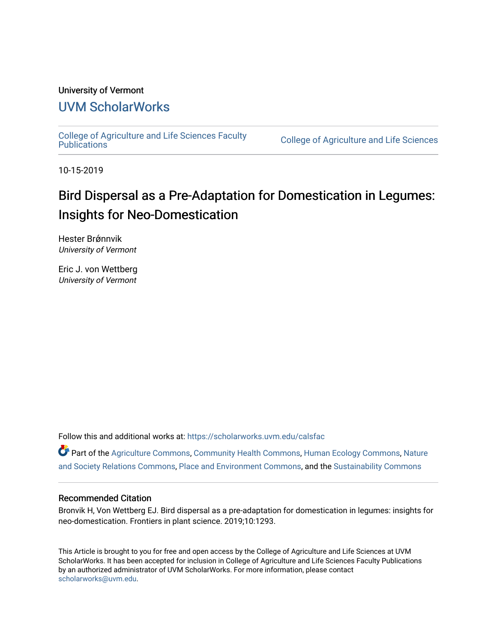## University of Vermont

## [UVM ScholarWorks](https://scholarworks.uvm.edu/)

[College of Agriculture and Life Sciences Faculty](https://scholarworks.uvm.edu/calsfac) 

**College of Agriculture and Life Sciences** 

10-15-2019

# Bird Dispersal as a Pre-Adaptation for Domestication in Legumes: Insights for Neo-Domestication

Hester Brǿnnvik University of Vermont

Eric J. von Wettberg University of Vermont

Follow this and additional works at: [https://scholarworks.uvm.edu/calsfac](https://scholarworks.uvm.edu/calsfac?utm_source=scholarworks.uvm.edu%2Fcalsfac%2F90&utm_medium=PDF&utm_campaign=PDFCoverPages)

Part of the [Agriculture Commons](http://network.bepress.com/hgg/discipline/1076?utm_source=scholarworks.uvm.edu%2Fcalsfac%2F90&utm_medium=PDF&utm_campaign=PDFCoverPages), [Community Health Commons](http://network.bepress.com/hgg/discipline/714?utm_source=scholarworks.uvm.edu%2Fcalsfac%2F90&utm_medium=PDF&utm_campaign=PDFCoverPages), [Human Ecology Commons,](http://network.bepress.com/hgg/discipline/1335?utm_source=scholarworks.uvm.edu%2Fcalsfac%2F90&utm_medium=PDF&utm_campaign=PDFCoverPages) [Nature](http://network.bepress.com/hgg/discipline/357?utm_source=scholarworks.uvm.edu%2Fcalsfac%2F90&utm_medium=PDF&utm_campaign=PDFCoverPages) [and Society Relations Commons](http://network.bepress.com/hgg/discipline/357?utm_source=scholarworks.uvm.edu%2Fcalsfac%2F90&utm_medium=PDF&utm_campaign=PDFCoverPages), [Place and Environment Commons](http://network.bepress.com/hgg/discipline/424?utm_source=scholarworks.uvm.edu%2Fcalsfac%2F90&utm_medium=PDF&utm_campaign=PDFCoverPages), and the [Sustainability Commons](http://network.bepress.com/hgg/discipline/1031?utm_source=scholarworks.uvm.edu%2Fcalsfac%2F90&utm_medium=PDF&utm_campaign=PDFCoverPages)

### Recommended Citation

Bronvik H, Von Wettberg EJ. Bird dispersal as a pre-adaptation for domestication in legumes: insights for neo-domestication. Frontiers in plant science. 2019;10:1293.

This Article is brought to you for free and open access by the College of Agriculture and Life Sciences at UVM ScholarWorks. It has been accepted for inclusion in College of Agriculture and Life Sciences Faculty Publications by an authorized administrator of UVM ScholarWorks. For more information, please contact [scholarworks@uvm.edu](mailto:scholarworks@uvm.edu).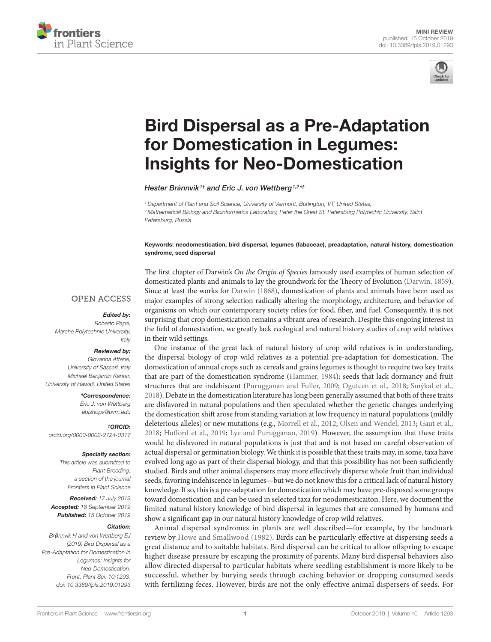



# [Bird Dispersal as a Pre-Adaptation](https://www.frontiersin.org/article/10.3389/fpls.2019.01293/full)  [for Domestication in Legumes:](https://www.frontiersin.org/article/10.3389/fpls.2019.01293/full)  [Insights for Neo-Domestication](https://www.frontiersin.org/article/10.3389/fpls.2019.01293/full)

*[Hester Br](https://loop.frontiersin.org/people/789545)ǿnnvik1† and [Eric J. von Wettberg](https://loop.frontiersin.org/people/417156)1,2\*†*

*1 Department of Plant and Soil Science, University of Vermont, Burlington, VT, United States, 2 Mathematical Biology and Bioinformatics Laboratory, Peter the Great St. Petersburg Polytechic University, Saint Petersburg, Russia*

Keywords: neodomestication, bird dispersal, legumes (fabaceae), preadaptation, natural history, domestication syndrome, seed dispersal

### **OPEN ACCESS**

#### *Edited by:*

*Roberto Papa, Marche Polytechnic University, Italy*

#### *Reviewed by:*

*Giovanna Attene, University of Sassari, Italy Michael Benjamin Kantar, University of Hawaii, United States*

*\*Correspondence:*

*Eric J. von Wettberg [ebishopv@uvm.edu](mailto:ebishopv@uvm.edu,)*

*†ORCID*: *[orcid.org/0000-0002-2724-0317](http://orcid.org/0000-0002-2724-0317)*

#### *Specialty section:*

*This article was submitted to Plant Breeding, a section of the journal Frontiers in Plant Science*

*Received: 17 July 2019 Accepted: 18 September 2019 Published: 15 October 2019*

#### *Citation:*

*Brǿnnvik H and von Wettberg EJ (2019) Bird Dispersal as a Pre-Adaptation for Domestication in Legumes: Insights for Neo-Domestication. Front. Plant Sci. 10:1293. doi: [10.3389/fpls.2019.01293](https://doi.org/10.3389/fpls.2019.01293)* The first chapter of Darwin's *On the Origin of Species* famously used examples of human selection of domesticated plants and animals to lay the groundwork for the Theory of Evolution [\(Darwin, 1859](#page-3-0)). Since at least the works for [Darwin \(1868\)](#page-3-1), domestication of plants and animals have been used as major examples of strong selection radically altering the morphology, architecture, and behavior of organisms on which our contemporary society relies for food, fiber, and fuel. Consequently, it is not surprising that crop domestication remains a vibrant area of research. Despite this ongoing interest in the field of domestication, we greatly lack ecological and natural history studies of crop wild relatives in their wild settings.

One instance of the great lack of natural history of crop wild relatives is in understanding, the dispersal biology of crop wild relatives as a potential pre-adaptation for domestication. The domestication of annual crops such as cereals and grains legumes is thought to require two key traits that are part of the domestication syndrome [\(Hammer, 1984\)](#page-3-2): seeds that lack dormancy and fruit structures that are indehiscent [\(Purugganan and Fuller, 2009;](#page-3-3) [Ogutcen et al., 2018;](#page-3-4) Smýkal et al., 2018). Debate in the domestication literature has long been generally assumed that both of these traits are disfavored in natural populations and then speculated whether the genetic changes underlying the domestication shift arose from standing variation at low frequency in natural populations (mildly deleterious alleles) or new mutations (e.g., [Morrell et al., 2012;](#page-3-5) [Olsen and Wendel, 2013](#page-3-6); [Gaut et al.,](#page-3-7)  [2018;](#page-3-7) [Hufford et al., 2019;](#page-3-8) [Lye and Purugganan, 2019\)](#page-3-9). However, the assumption that these traits would be disfavored in natural populations is just that and is not based on careful observation of actual dispersal or germination biology. We think it is possible that these traits may, in some, taxa have evolved long ago as part of their dispersal biology, and that this possibility has not been sufficiently studied. Birds and other animal dispersers may more effectively disperse whole fruit than individual seeds, favoring indehiscence in legumes—but we do not know this for a critical lack of natural history knowledge. If so, this is a pre-adaptation for domestication which may have pre-disposed some groups toward domestication and can be used in selected taxa for neodomesticaiton. Here, we document the limited natural history knowledge of bird dispersal in legumes that are consumed by humans and show a significant gap in our natural history knowledge of crop wild relatives.

Animal dispersal syndromes in plants are well described—for example, by the landmark review by [Howe and Smallwood \(1982\)](#page-3-10). Birds can be particularly effective at dispersing seeds a great distance and to suitable habitats. Bird dispersal can be critical to allow offspring to escape higher disease pressure by escaping the proximity of parents. Many bird dispersal behaviors also allow directed dispersal to particular habitats where seedling establishment is more likely to be successful, whether by burying seeds through caching behavior or dropping consumed seeds with fertilizing feces. However, birds are not the only effective animal dispersers of seeds. For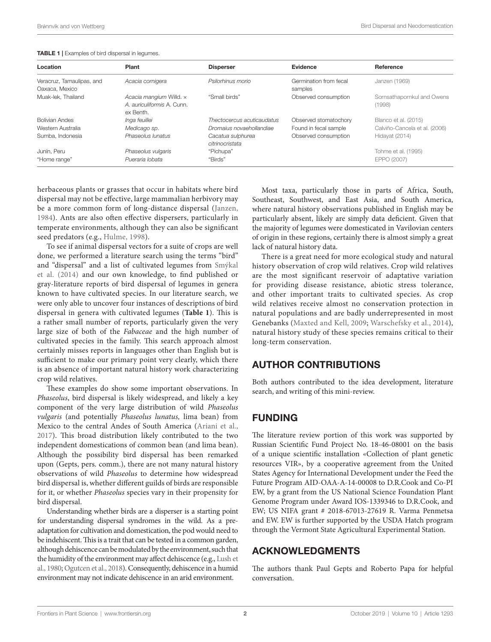| Location                                    | Plant                                                                     | <b>Disperser</b>                     | Evidence                          | Reference                            |
|---------------------------------------------|---------------------------------------------------------------------------|--------------------------------------|-----------------------------------|--------------------------------------|
| Veracruz, Tamaulipas, and<br>Oaxaca, Mexico | Acacia cornigera                                                          | Psilorhinus morio                    | Germination from fecal<br>samples | Janzen (1969)                        |
| Muak-lek. Thailand                          | Acacia mangium Willd. x<br>A. <i>auriculiformis</i> A. Cunn.<br>ex Benth. | "Small birds"                        | Observed consumption              | Sornsathapornkul and Owens<br>(1998) |
| <b>Bolivian Andes</b>                       | Inga feuillei                                                             | Thectocercus acuticaudatus           | Observed stomatochory             | Blanco et al. (2015)                 |
| Western Australia                           | Medicago sp.                                                              | Dromaius novaehollandiae             | Found in fecal sample             | Calviño-Cancela et al. (2006)        |
| Sumba, Indonesia                            | Phaseolus lunatus                                                         | Cacatua sulphurea<br>citrinocristata | Observed consumption              | Hidayat (2014)                       |
| Junín, Peru                                 | Phaseolus vulgaris                                                        | "Pichupa"                            |                                   | Tohme et al. (1995)                  |
| "Home range"                                | Pueraria lobata                                                           | "Birds"                              |                                   | EPPO (2007)                          |
|                                             |                                                                           |                                      |                                   |                                      |

<span id="page-2-0"></span>

| <b>TABLE 1</b>   Examples of bird dispersal in legumes. |  |  |  |  |  |
|---------------------------------------------------------|--|--|--|--|--|
|---------------------------------------------------------|--|--|--|--|--|

herbaceous plants or grasses that occur in habitats where bird dispersal may not be effective, large mammalian herbivory may be a more common form of long-distance dispersal [\(Janzen,](#page-3-11)  [1984\)](#page-3-11). Ants are also often effective dispersers, particularly in temperate environments, although they can also be significant seed predators (e.g., [Hulme, 1998\)](#page-3-12).

To see if animal dispersal vectors for a suite of crops are well done, we performed a literature search using the terms "bird" and "dispersal" and a list of cultivated legumes from Smýkal et al. (2014) and our own knowledge, to find published or gray-literature reports of bird dispersal of legumes in genera known to have cultivated species. In our literature search, we were only able to uncover four instances of descriptions of bird dispersal in genera with cultivated legumes (**[Table 1](#page-2-0)**). This is a rather small number of reports, particularly given the very large size of both of the *Fabaceae* and the high number of cultivated species in the family. This search approach almost certainly misses reports in languages other than English but is sufficient to make our primary point very clearly, which there is an absence of important natural history work characterizing crop wild relatives.

These examples do show some important observations. In *Phaseolus*, bird dispersal is likely widespread, and likely a key component of the very large distribution of wild *Phaseolus vulgaris* (and potentially *Phaseolus lunatus,* lima bean) from Mexico to the central Andes of South America ([Ariani et al.,](#page-3-13)  [2017\)](#page-3-13). This broad distribution likely contributed to the two independent domestications of common bean (and lima bean). Although the possibility bird dispersal has been remarked upon (Gepts, pers. comm.), there are not many natural history observations of wild *Phaseolus* to determine how widespread bird dispersal is, whether different guilds of birds are responsible for it, or whether *Phaseolus* species vary in their propensity for bird dispersal.

Understanding whether birds are a disperser is a starting point for understanding dispersal syndromes in the wild. As a preadaptation for cultivation and domestication, the pod would need to be indehiscent. This is a trait that can be tested in a common garden, although dehiscence can be modulated by the environment, such that the humidity of the environment may affect dehiscence (e.g., [Lush et](#page-3-14)  [al., 1980](#page-3-14); [Ogutcen et al., 2018\)](#page-3-4). Consequently, dehiscence in a humid environment may not indicate dehiscence in an arid environment.

Most taxa, particularly those in parts of Africa, South, Southeast, Southwest, and East Asia, and South America, where natural history observations published in English may be particularly absent, likely are simply data deficient. Given that the majority of legumes were domesticated in Vavilovian centers of origin in these regions, certainly there is almost simply a great lack of natural history data.

There is a great need for more ecological study and natural history observation of crop wild relatives. Crop wild relatives are the most significant reservoir of adaptative variation for providing disease resistance, abiotic stress tolerance, and other important traits to cultivated species. As crop wild relatives receive almost no conservation protection in natural populations and are badly underrepresented in most Genebanks ([Maxted and Kell, 2009;](#page-3-15) [Warschefsky et al., 2014](#page-3-16)), natural history study of these species remains critical to their long-term conservation.

## AUTHOR CONTRIBUTIONS

Both authors contributed to the idea development, literature search, and writing of this mini-review.

## FUNDING

The literature review portion of this work was supported by Russian Scientific Fund Project No. 18-46-08001 on the basis of a unique scientific installation «Сollection of plant genetic resources VIR», by a cooperative agreement from the United States Agency for International Development under the Feed the Future Program AID-OAA-A-14-00008 to D.R.Cook and Co-PI EW, by a grant from the US National Science Foundation Plant Genome Program under Award IOS-1339346 to D.R.Cook, and EW; US NIFA grant # 2018-67013-27619 R. Varma Penmetsa and EW. EW is further supported by the USDA Hatch program through the Vermont State Agricultural Experimental Station.

## ACKNOWLEDGMENTS

The authors thank Paul Gepts and Roberto Papa for helpful conversation.